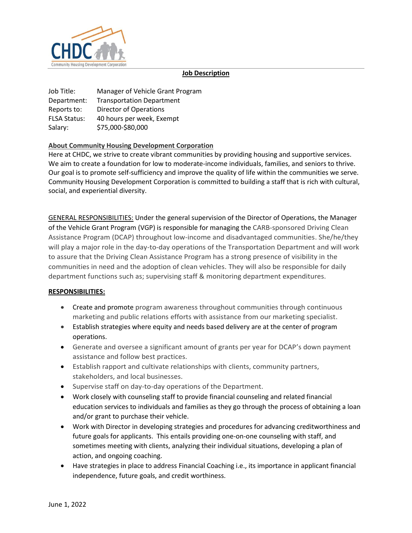

#### **Job Description**

Job Title: Manager of Vehicle Grant Program Department: Transportation Department Reports to: Director of Operations FLSA Status: 40 hours per week, Exempt Salary: \$75,000-\$80,000

## **About Community Housing Development Corporation**

Here at CHDC, we strive to create vibrant communities by providing housing and supportive services. We aim to create a foundation for low to moderate-income individuals, families, and seniors to thrive. Our goal is to promote self-sufficiency and improve the quality of life within the communities we serve. Community Housing Development Corporation is committed to building a staff that is rich with cultural, social, and experiential diversity.

GENERAL RESPONSIBILITIES: Under the general supervision of the Director of Operations, the Manager of the Vehicle Grant Program (VGP) is responsible for managing the CARB-sponsored Driving Clean Assistance Program (DCAP) throughout low-income and disadvantaged communities. She/he/they will play a major role in the day-to-day operations of the Transportation Department and will work to assure that the Driving Clean Assistance Program has a strong presence of visibility in the communities in need and the adoption of clean vehicles. They will also be responsible for daily department functions such as; supervising staff & monitoring department expenditures.

## **RESPONSIBILITIES:**

- Create and promote program awareness throughout communities through continuous marketing and public relations efforts with assistance from our marketing specialist.
- Establish strategies where equity and needs based delivery are at the center of program operations.
- Generate and oversee a significant amount of grants per year for DCAP's down payment assistance and follow best practices.
- Establish rapport and cultivate relationships with clients, community partners, stakeholders, and local businesses.
- Supervise staff on day-to-day operations of the Department.
- Work closely with counseling staff to provide financial counseling and related financial education services to individuals and families as they go through the process of obtaining a loan and/or grant to purchase their vehicle.
- Work with Director in developing strategies and procedures for advancing creditworthiness and future goals for applicants. This entails providing one-on-one counseling with staff, and sometimes meeting with clients, analyzing their individual situations, developing a plan of action, and ongoing coaching.
- Have strategies in place to address Financial Coaching i.e., its importance in applicant financial independence, future goals, and credit worthiness.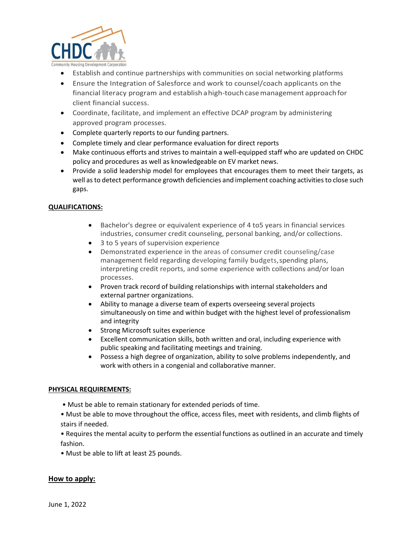

- Establish and continue partnerships with communities on social networking platforms
- Ensure the Integration of Salesforce and work to counsel/coach applicants on the financial literacy program and establish ahigh-touch casemanagement approachfor client financial success.
- Coordinate, facilitate, and implement an effective DCAP program by administering approved program processes.
- Complete quarterly reports to our funding partners.
- Complete timely and clear performance evaluation for direct reports
- Make continuous efforts and strives to maintain a well-equipped staff who are updated on CHDC policy and procedures as well as knowledgeable on EV market news.
- Provide a solid leadership model for employees that encourages them to meet their targets, as well as to detect performance growth deficiencies and implement coaching activities to close such gaps.

## **QUALIFICATIONS:**

- Bachelor's degree or equivalent experience of 4 to5 years in financial services industries, consumer credit counseling, personal banking, and/or collections.
- 3 to 5 years of supervision experience
- Demonstrated experience in the areas of consumer credit counseling/case management field regarding developing family budgets, spending plans, interpreting credit reports, and some experience with collections and/or loan processes.
- Proven track record of building relationships with internal stakeholders and external partner organizations.
- Ability to manage a diverse team of experts overseeing several projects simultaneously on time and within budget with the highest level of professionalism and integrity
- Strong Microsoft suites experience
- Excellent communication skills, both written and oral, including experience with public speaking and facilitating meetings and training.
- Possess a high degree of organization, ability to solve problems independently, and work with others in a congenial and collaborative manner.

## **PHYSICAL REQUIREMENTS:**

- Must be able to remain stationary for extended periods of time.
- Must be able to move throughout the office, access files, meet with residents, and climb flights of stairs if needed.

• Requires the mental acuity to perform the essential functions as outlined in an accurate and timely fashion.

• Must be able to lift at least 25 pounds.

# **How to apply:**